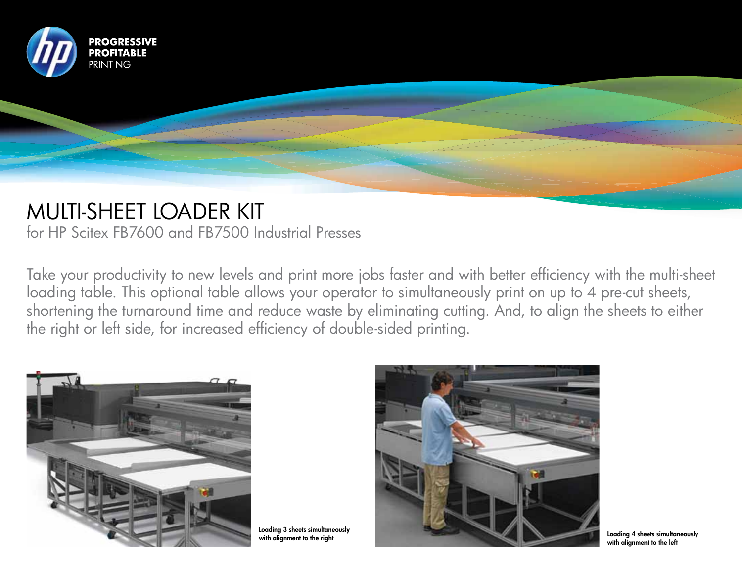

## MULTI-SHEET LOADER KIT

for HP Scitex FB7600 and FB7500 Industrial Presses

Take your productivity to new levels and print more jobs faster and with better efficiency with the multi-sheet loading table. This optional table allows your operator to simultaneously print on up to 4 pre-cut sheets, shortening the turnaround time and reduce waste by eliminating cutting. And, to align the sheets to either the right or left side, for increased efficiency of double-sided printing.



Loading 3 sheets simultaneously



with alignment to the left